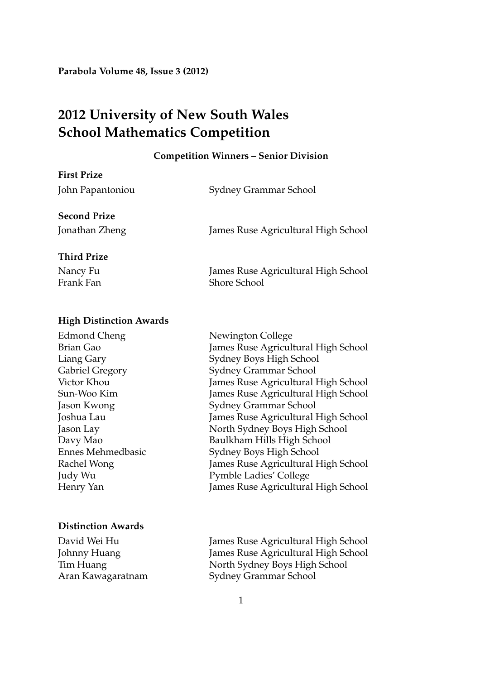**Parabola Volume 48, Issue 3 (2012)**

# **2012 University of New South Wales School Mathematics Competition**

#### **Competition Winners – Senior Division**

| <b>First Prize</b>  |                                     |
|---------------------|-------------------------------------|
| John Papantoniou    | Sydney Grammar School               |
| <b>Second Prize</b> |                                     |
| Jonathan Zheng      | James Ruse Agricultural High School |
| <b>Third Prize</b>  |                                     |
| Nancy Fu            | James Ruse Agricultural High School |
| Frank Fan           | <b>Shore School</b>                 |
|                     |                                     |

### **High Distinction Awards**

# **Distinction Awards**

Newington College James Ruse Agricultural High School Sydney Boys High School Sydney Grammar School James Ruse Agricultural High School James Ruse Agricultural High School Sydney Grammar School James Ruse Agricultural High School North Sydney Boys High School Baulkham Hills High School Sydney Boys High School James Ruse Agricultural High School Pymble Ladies' College James Ruse Agricultural High School

David Wei Hu James Ruse Agricultural High School Johnny Huang James Ruse Agricultural High School Tim Huang North Sydney Boys High School Aran Kawagaratnam Sydney Grammar School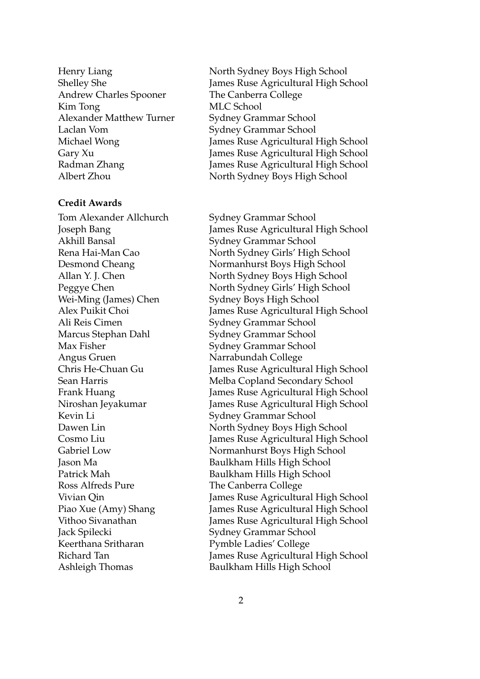Andrew Charles Spooner The Canberra College Kim Tong MLC School Alexander Matthew Turner Sydney Grammar School Laclan Vom Sydney Grammar School

#### **Credit Awards**

Akhill Bansal Sydney Grammar School Wei-Ming (James) Chen Sydney Boys High School Ali Reis Cimen Sydney Grammar School Marcus Stephan Dahl Sydney Grammar School Max Fisher Sydney Grammar School Angus Gruen Narrabundah College Kevin Li Sydney Grammar School Ross Alfreds Pure The Canberra College Jack Spilecki Sydney Grammar School Keerthana Sritharan Pymble Ladies' College

Henry Liang North Sydney Boys High School Shelley She James Ruse Agricultural High School Michael Wong James Ruse Agricultural High School Gary Xu James Ruse Agricultural High School Radman Zhang James Ruse Agricultural High School Albert Zhou North Sydney Boys High School

Tom Alexander Allchurch Sydney Grammar School Joseph Bang James Ruse Agricultural High School Rena Hai-Man Cao North Sydney Girls' High School Desmond Cheang Normanhurst Boys High School Allan Y. J. Chen North Sydney Boys High School Peggye Chen North Sydney Girls' High School Alex Puikit Choi James Ruse Agricultural High School Chris He-Chuan Gu James Ruse Agricultural High School Sean Harris Melba Copland Secondary School Frank Huang James Ruse Agricultural High School Niroshan Jeyakumar James Ruse Agricultural High School Dawen Lin North Sydney Boys High School Cosmo Liu James Ruse Agricultural High School Gabriel Low Normanhurst Boys High School Jason Ma Baulkham Hills High School Patrick Mah Baulkham Hills High School Vivian Qin James Ruse Agricultural High School Piao Xue (Amy) Shang James Ruse Agricultural High School Vithoo Sivanathan James Ruse Agricultural High School Richard Tan James Ruse Agricultural High School Ashleigh Thomas Baulkham Hills High School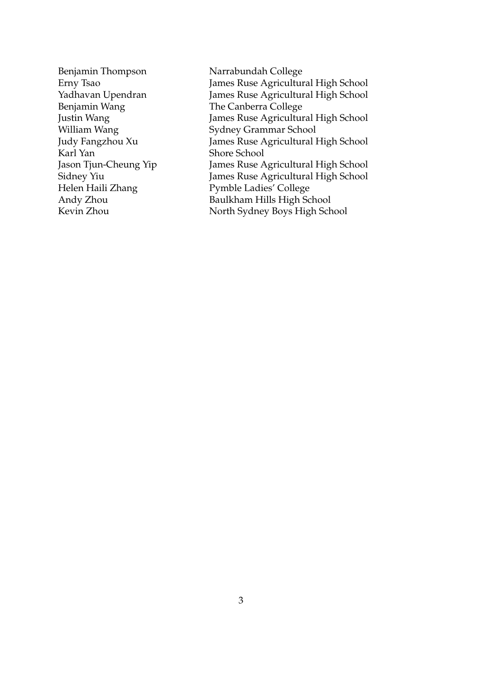Benjamin Wang The Canberra College Karl Yan Shore School

Benjamin Thompson Narrabundah College Erny Tsao James Ruse Agricultural High School James Ruse Agricultural High School Justin Wang 7 (James Ruse Agricultural High School William Wang Sydney Grammar School Judy Fangzhou Xu James Ruse Agricultural High School Jason Tjun-Cheung Yip James Ruse Agricultural High School Sidney Yiu James Ruse Agricultural High School Helen Haili Zhang Pymble Ladies' College Andy Zhou Baulkham Hills High School Kevin Zhou North Sydney Boys High School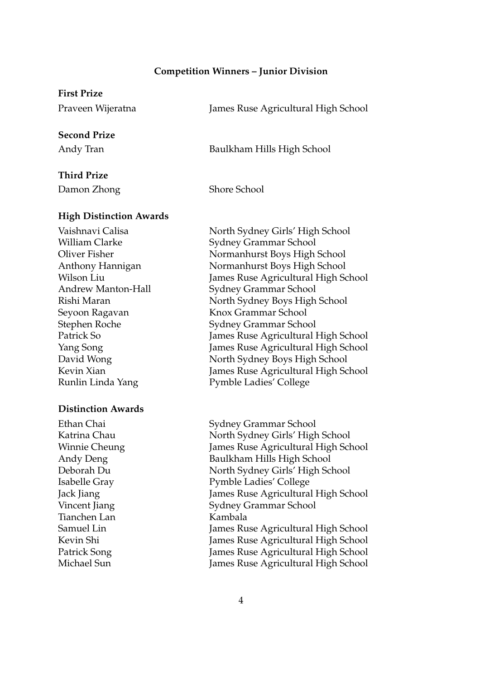#### **Competition Winners – Junior Division**

# **First Prize**

Praveen Wijeratna James Ruse Agricultural High School

# **Second Prize**

Andy Tran Baulkham Hills High School

# **Third Prize**

Damon Zhong Shore School

# **High Distinction Awards**

### **Distinction Awards**

Tianchen Lan Kambala

Vaishnavi Calisa North Sydney Girls' High School William Clarke Sydney Grammar School Oliver Fisher Normanhurst Boys High School Anthony Hannigan Normanhurst Boys High School Wilson Liu James Ruse Agricultural High School Andrew Manton-Hall Sydney Grammar School Rishi Maran North Sydney Boys High School Seyoon Ragavan Knox Grammar School Stephen Roche Sydney Grammar School Patrick So James Ruse Agricultural High School Yang Song James Ruse Agricultural High School David Wong North Sydney Boys High School Kevin Xian James Ruse Agricultural High School Runlin Linda Yang Pymble Ladies' College

Ethan Chai Sydney Grammar School Katrina Chau North Sydney Girls' High School Winnie Cheung Tames Ruse Agricultural High School Andy Deng Baulkham Hills High School Deborah Du North Sydney Girls' High School Isabelle Gray Pymble Ladies' College Jack Jiang James Ruse Agricultural High School Vincent Jiang Sydney Grammar School Samuel Lin James Ruse Agricultural High School Kevin Shi James Ruse Agricultural High School Patrick Song James Ruse Agricultural High School Michael Sun James Ruse Agricultural High School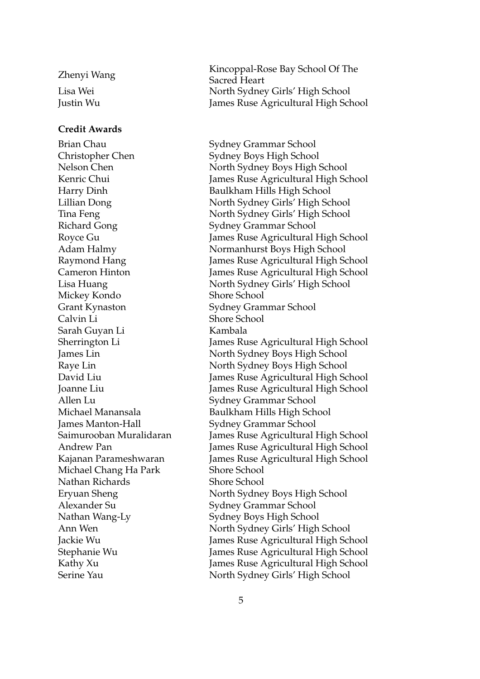# **Credit Awards**

Brian Chau Sydney Grammar School Richard Gong Sydney Grammar School Mickey Kondo Shore School Grant Kynaston Sydney Grammar School Calvin Li Shore School Sarah Guyan Li Kambala Allen Lu Sydney Grammar School Michael Chang Ha Park Shore School Nathan Richards Shore School

Zhenyi Wang Kincoppal-Rose Bay School Of The Sacred Heart Lisa Wei North Sydney Girls' High School Justin Wu James Ruse Agricultural High School

Christopher Chen Sydney Boys High School Nelson Chen North Sydney Boys High School Kenric Chui James Ruse Agricultural High School Harry Dinh Baulkham Hills High School Lillian Dong North Sydney Girls' High School Tina Feng North Sydney Girls' High School Royce Gu James Ruse Agricultural High School Adam Halmy Normanhurst Boys High School Raymond Hang James Ruse Agricultural High School Cameron Hinton James Ruse Agricultural High School Lisa Huang North Sydney Girls' High School Sherrington Li James Ruse Agricultural High School James Lin North Sydney Boys High School Raye Lin North Sydney Boys High School David Liu James Ruse Agricultural High School Joanne Liu James Ruse Agricultural High School Michael Manansala Baulkham Hills High School James Manton-Hall Sydney Grammar School Saimurooban Muralidaran James Ruse Agricultural High School Andrew Pan James Ruse Agricultural High School Kajanan Parameshwaran James Ruse Agricultural High School Eryuan Sheng North Sydney Boys High School Alexander Su Sydney Grammar School Nathan Wang-Ly Sydney Boys High School Ann Wen North Sydney Girls' High School Jackie Wu James Ruse Agricultural High School Stephanie Wu James Ruse Agricultural High School Kathy Xu James Ruse Agricultural High School Serine Yau North Sydney Girls' High School